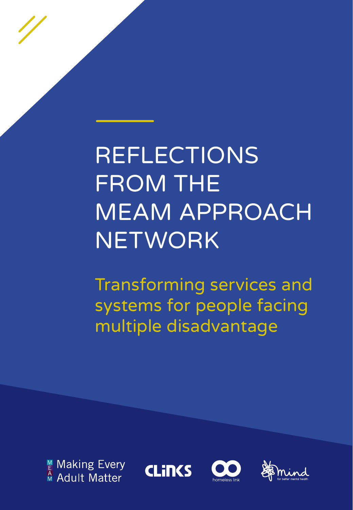REFLECTIONS FROM THE MEAM APPROACH NETWORK

Transforming services and systems for people facing multiple disadvantage







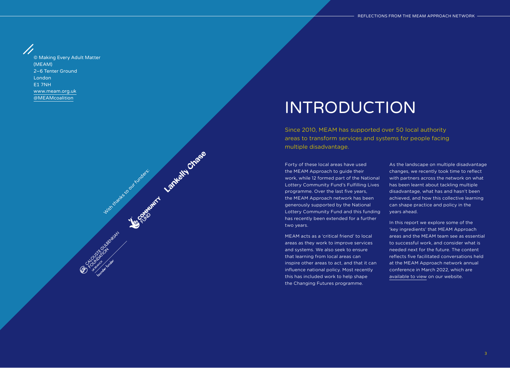© Making Every Adult Matter (MEAM) 2–6 Tenter Ground London E1 7NH www.[meam.org.uk](http://www.meam.org.uk) [@MEAMcoalition](https://twitter.com/meamcoalition?lang=en)

With the Marie Court funders: Article of the Chase

USE COUNTRY AVENUE

### INTRODUCTION

Since 2010, MEAM has supported over 50 local authority areas to transform services and systems for people facing multiple disadvantage.

Forty of these local areas have used the MEAM Approach to guide their work, while 12 formed part of the National Lottery Community Fund's Fulfilling Lives programme. Over the last five years, the MEAM Approach network has been generously supported by the National Lottery Community Fund and this funding has recently been extended for a further two years.

MEAM acts as a 'critical friend' to local areas as they work to improve services and systems. We also seek to ensure that learning from local areas can inspire other areas to act, and that it can influence national policy. Most recently this has included work to help shape the Changing Futures programme.

As the landscape on multiple disadvantage changes, we recently took time to reflect with partners across the network on what has been learnt about tackling multiple disadvantage, what has and hasn't been achieved, and how this collective learning can shape practice and policy in the years ahead.

In this report we explore some of the 'key ingredients' that MEAM Approach areas and the MEAM team see as essential to successful work, and consider what is needed next for the future. The content reflects five facilitated conversations held at the MEAM Approach network annual conference in March 2022, which are [available to view](http://meam.org.uk/2022/04/06/meam-approach-network-annual-conference/) on our website.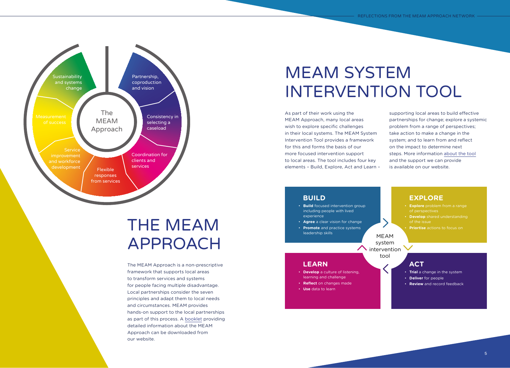

## THE MEAM APPROACH

The MEAM Approach is a non-prescriptive framework that supports local areas to transform services and systems for people facing multiple disadvantage. Local partnerships consider the seven principles and adapt them to local needs and circumstances. MEAM provides hands-on support to the local partnerships as part of this process. A [booklet](http://meam.org.uk/wp-content/uploads/2019/02/HOMJ6444-MEAM-wheel-190208-WEB.pdf) providing detailed information about the MEAM Approach can be downloaded from our website.

## MEAM SYSTEM INTERVENTION TOOL

As part of their work using the MEAM Approach, many local areas wish to explore specific challenges in their local systems. The MEAM System Intervention Tool provides a framework for this and forms the basis of our more focused intervention support to local areas. The tool includes four key elements – Build, Explore, Act and Learn –

supporting local areas to build effective partnerships for change; explore a systemic problem from a range of perspectives; take action to make a change in the system; and to learn from and reflect on the impact to determine next steps. More information [about the tool](http://meam.org.uk/meam-system-intervention/) and the support we can provide is available on our website.

### **BUILD**

**LEARN** 

• **Use** data to learn

- **Build** focused intervention group including people with lived experience
- **Agree** a clear vision for change • **Promote** and practice systems

• **Develop** a culture of listening, learning and challenge • **Reflect** on changes made

leadership skills

MEAM system  $\bigwedge$  intervention  $\bigvee$ 

tool

### **ACT**

- **Trial** a change in the system
- **Deliver** for people
- **Review** and record feedback

• **Explore** problem from a range

**EXPLORE** 

- of perspectives • **Develop** shared understanding
	- of the issue

**Priortise** actions to focus on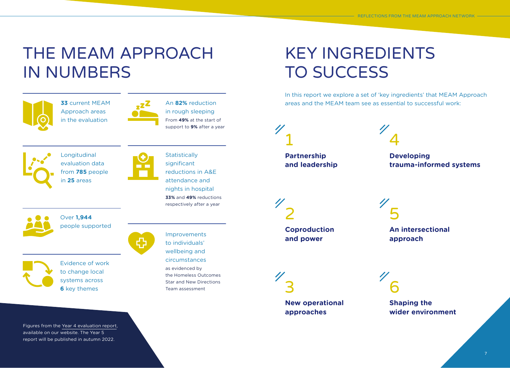## THE MEAM APPROACH IN NUMBERS



**33** current MEAM Approach areas in the evaluation



An **82%** reduction in rough sleeping From **49%** at the start of support to **9%** after a year



Longitudinal evaluation data from **785** people in **25** areas

Over **1,944**

people supported

**Statistically** significant reductions in A&E attendance and nights in hospital **33%** and **49%** reductions respectively after a year



Evidence of work to change local systems across **6** key themes

Figures from the [Year 4 evaluation report,](http://meam.org.uk/wp-content/uploads/2021/10/Year-Four-final-report.pdf) available on our website. The Year 5 report will be published in autumn 2022.

### Improvements to individuals' wellbeing and circumstances as evidenced by the Homeless Outcomes Star and New Directions Team assessment

## KEY INGREDIENTS TO SUCCESS

In this report we explore a set of 'key ingredients' that MEAM Approach areas and the MEAM team see as essential to successful work:

1 **Partnership [and leadership](#page-4-0)** 4

**Developing [trauma-informed systems](#page-7-0)**

2 **[Coproduction](#page-5-0)  and power**

5 **[An intersectional](#page-8-0)  approach**

3 **[New operational](#page-6-0)  approaches**

**Shaping the [wider environment](#page-9-0)**

6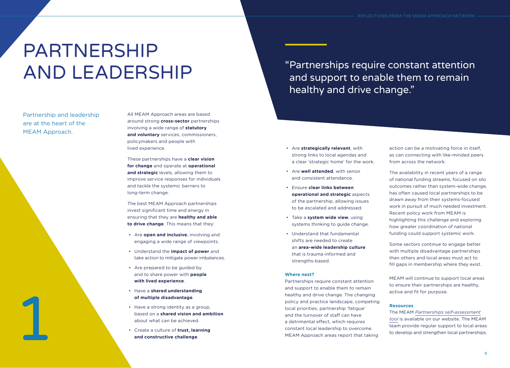# <span id="page-4-0"></span>PARTNERSHIP AND LEADERSHIP

Partnership and leadership are at the heart of the MEAM Approach.

1



These partnerships have a **clear vision for change** and operate at **operational and strategic** levels, allowing them to improve service responses for individuals and tackle the systemic barriers to long-term change.

The best MEAM Approach partnerships invest significant time and energy in ensuring that they are **healthy and able to drive change**. This means that they:

- Are **open and inclusive**, involving and engaging a wide range of viewpoints.
- Understand the **impact of power** and take action to mitigate power imbalances.
- Are prepared to be guided by and to share power with **people with lived experience**.
- Have a **shared understanding of multiple disadvantage**.
- Have a strong identity as a group, based on a **shared vision and ambition** about what can be achieved.
- Create a culture of **trust, learning and constructive challenge**.

"Partnerships require constant attention and support to enable them to remain healthy and drive change."

- Are **strategically relevant**, with strong links to local agendas and a clear 'strategic home' for the work.
- Are **well attended**, with senior and consistent attendance.
- Ensure **clear links between operational and strategic** aspects of the partnership, allowing issues to be escalated and addressed.
- Take a **system wide view**, using systems thinking to guide change.
- Understand that fundamental shifts are needed to create an **area-wide leadership culture** that is trauma-informed and strengths-based.

### **Where next?**

Partnerships require constant attention and support to enable them to remain healthy and drive change. The changing policy and practice landscape, competing local priorities, partnership 'fatigue' and the turnover of staff can have a detrimental effect, which requires constant local leadership to overcome. MEAM Approach areas report that taking

action can be a motivating force in itself, as can connecting with like-minded peers from across the network.

The availability in recent years of a range of national funding streams, focused on silo outcomes rather than system-wide change, has often caused local partnerships to be drawn away from their systems-focused work in pursuit of much needed investment. Recent policy work from MEAM is highlighting this challenge and exploring how greater coordination of national funding could support systemic work.

Some sectors continue to engage better with multiple disadvantage partnerships than others and local areas must act to fill gaps in membership where they exist.

MEAM will continue to support local areas to ensure their partnerships are healthy, active and fit for purpose.

### **Resources**

The MEAM *[Partnerships self-assessment](http://meam.org.uk/2020/10/06/partnerships-self-assessment-tool/) [tool](http://meam.org.uk/2020/10/06/partnerships-self-assessment-tool/)* is available on our website. The MEAM team provide regular support to local areas to develop and strengthen local partnerships.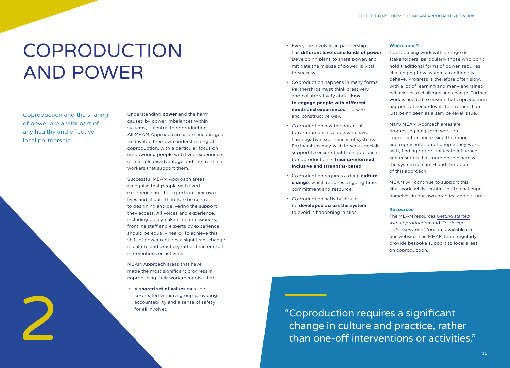# <span id="page-5-0"></span>COPRODUCTION AND POWER

Coproduction and the sharing of power are a vital part of any healthy and effective local partnership.

Understanding **power** and the harm caused by power imbalances within systems, is central to coproduction. All MEAM Approach areas are encouraged to develop their own understanding of coproduction, with a particular focus on empowering people with lived experience of multiple disadvantage and the frontline workers that support them.

Successful MEAM Approach areas recognise that people with lived experience are the experts in their own lives and should therefore be central to designing and delivering the support they access. All voices and experience, including policymakers, commissioners, frontline staff and experts by experience should be equally heard. To achieve this shift of power requires a significant change in culture and practice, rather than one-off interventions or activities.

MEAM Approach areas that have made the most significant progress in coproducing their work recognise that:

• A **shared set of values** must be co-created within a group, providing accountability and a sense of safety for all involved.

- Everyone involved in partnerships has **different levels and kinds of power**. Developing plans to share power, and mitigate the misuse of power, is vital to success.
- Coproduction happens in many forms. Partnerships must think creatively and collaboratively about **how to engage people with different needs and experiences** in a safe and constructive way.
- Coproduction has the potential to re-traumatise people who have had negative experiences of systems. Partnerships may wish to seek specialist support to ensure that their approach to coproduction is **trauma-informed, inclusive and strengths-based**.
- Coproduction requires a deep **culture change**, which requires ongoing time, commitment and resource.
- Coproduction activity should be **developed across the system**, to avoid it happening in silos.

### **Where next?**

Coproducing work with a range of stakeholders, particularly those who don't hold traditional forms of power, requires challenging how systems traditionally behave. Progress is therefore often slow, with a lot of learning and many engrained behaviours to challenge and change. Further work is needed to ensure that coproduction happens at senior levels too, rather than just being seen as a service-level issue.

Many MEAM Approach areas are progressing long-term work on coproduction, increasing the range and representation of people they work with, finding opportunities to influence, and ensuring that more people across the system see first-hand the value of this approach.

MEAM will continue to support this vital work, whilst continuing to challenge ourselves in our own practice and cultures.

### **Resources**

The MEAM resources *[Getting started](http://meam.org.uk/wp-content/uploads/2022/03/Getting-started-with-coproduction.pdf) [with coproduction](http://meam.org.uk/wp-content/uploads/2022/03/Getting-started-with-coproduction.pdf)* and *[Co-design](http://meam.org.uk/wp-content/uploads/2022/03/Co-design-self-asessment-FINAL.docx) [self-assessment tool](http://meam.org.uk/wp-content/uploads/2022/03/Co-design-self-asessment-FINAL.docx)* are available on our website. The MEAM team regularly provide bespoke support to local areas on coproduction.

"Coproduction requires a significant co-created within a group, providing<br>accountability and a sense of safety<br>for all involved.<br> $\begin{array}{c} \text{``Coproduction requires a significant} \\ \text{``Coproduction requires a significant} \\ \text{``Rann one-off interventions or activities."}\end{array}$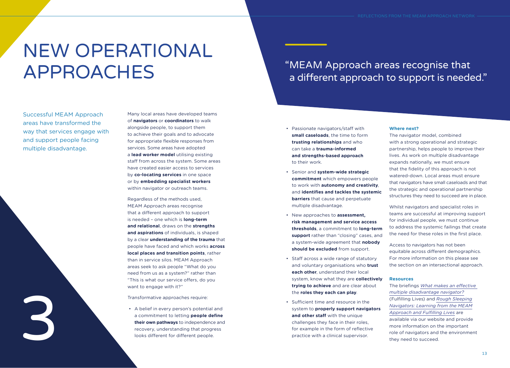# <span id="page-6-0"></span>NEW OPERATIONAL APPROACHES

Successful MEAM Approach areas have transformed the way that services engage with and support people facing multiple disadvantage.

3

Many local areas have developed teams of **navigators** or **coordinators** to walk alongside people, to support them to achieve their goals and to advocate for appropriate flexible responses from services. Some areas have adopted a **lead worker model** utilising existing staff from across the system. Some areas have created easier access to services by **co-locating services** in one space or by **embedding specialist workers** within navigator or outreach teams.

Regardless of the methods used, MEAM Approach areas recognise that a different approach to support is needed – one which is **long-term and relational**, draws on the **strengths and aspirations** of individuals, is shaped by a clear **understanding of the trauma** that people have faced and which works **across local places and transition points**, rather than in service silos. MEAM Approach areas seek to ask people "What do you need from us as a system?" rather than "This is what our service offers, do you want to engage with it?"

Transformative approaches require:

• A belief in every person's potential and a commitment to letting **people define their own pathways** to independence and recovery, understanding that progress looks different for different people.

• Passionate navigators/staff with **small caseloads**, the time to form **trusting relationships** and who can take a **trauma-informed and strengths-based approach**

to their work.

- Senior and **system-wide strategic commitment** which empowers people to work with **autonomy and creativity**, and **identifies and tackles the systemic barriers** that cause and perpetuate multiple disadvantage.
- New approaches to **assessment, risk management and service access thresholds**, a commitment to **long-term support** rather than "closing" cases, and a system-wide agreement that **nobody should be excluded** from support.
- Staff across a wide range of statutory and voluntary organisations who **trust each other**, understand their local system, know what they are **collectively trying to achieve** and are clear about the **roles they each can play**.
- Sufficient time and resource in the system to **properly support navigators and other staff** with the unique challenges they face in their roles, for example in the form of reflective practice with a clinical supervisor.

### "MEAM Approach areas recognise that a different approach to support is needed."

### **Where next?** The navigator model, combined with a strong operational and strategic partnership, helps people to improve their lives. As work on multiple disadvantage expands nationally, we must ensure that the fidelity of this approach is not

watered-down. Local areas must ensure that navigators have small caseloads and that the strategic and operational partnership structures they need to succeed are in place.

Whilst navigators and specialist roles in teams are successful at improving support for individual people, we must continue to address the systemic failings that create the need for these roles in the first place.

Access to navigators has not been equitable across different demographics. For more information on this please see the section on an intersectional approach.

### **Resources**

The briefings *[What makes an effective](https://www.fulfillinglivesevaluation.org/wp-admin/admin-ajax.php?juwpfisadmin=false&action=wpfd&task=file.download&wpfd_category_id=324&wpfd_file_id=6875&token=905f6a9b7123c76dd4ac3bfad5f6bcfc&preview=1)  [multiple disadvantage navigator?](https://www.fulfillinglivesevaluation.org/wp-admin/admin-ajax.php?juwpfisadmin=false&action=wpfd&task=file.download&wpfd_category_id=324&wpfd_file_id=6875&token=905f6a9b7123c76dd4ac3bfad5f6bcfc&preview=1)* (Fulfilling Lives) and *[Rough Sleeping](http://meam.org.uk/wp-content/uploads/2018/10/Briefing-on-navigators.pdf) [Navigators: Learning from the MEAM](http://meam.org.uk/wp-content/uploads/2018/10/Briefing-on-navigators.pdf) [Approach and Fulfilling Lives](http://meam.org.uk/wp-content/uploads/2018/10/Briefing-on-navigators.pdf)* are available via our website and provide more information on the important role of navigators and the environment they need to succeed.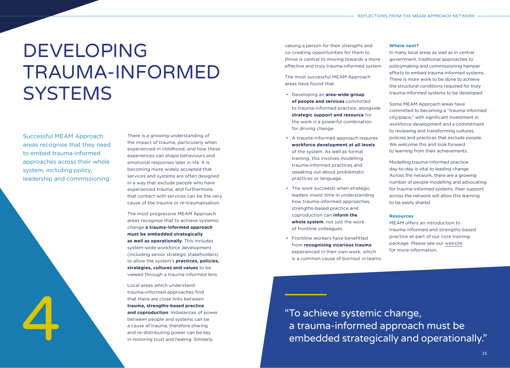# <span id="page-7-0"></span>DEVELOPING TRAUMA-INFORMED **SYSTEMS**

Successful MEAM Approach areas recognise that they need to embed trauma-informed approaches across their whole system, including policy, leadership and commissioning.

emotional responses later in life. It is becoming more widely accepted that services and systems are often designed in a way that exclude people who have experienced trauma, and furthermore, that contact with services can be the very cause of the trauma or re-traumatisation. The most progressive MEAM Approach areas recognise that to achieve systemic change **a trauma-informed approach must be embedded strategically as well as operationally**. This includes system-wide workforce development

There is a growing understanding of the impact of trauma, particularly when experienced in childhood, and how these experiences can shape behaviours and

(including senior strategic stakeholders) to allow the system's **practices, policies, strategies, cultures and values** to be viewed through a trauma-informed lens.

Trauma-informed approaches interest<br>
trauma, strengths-based practice<br>
and coproduction. Imbalances of power<br>
between people and systems can be<br>
a cause of trauma, therefore sharing<br>
and re-distributing power can be key<br>
i Local areas which understand trauma-informed approaches find that there are close links between **trauma, strengths-based practice and coproduction**. Imbalances of power between people and systems can be a cause of trauma, therefore sharing and re-distributing power can be key in restoring trust and healing. Similarly,

valuing a person for their strengths and co-creating opportunities for them to thrive is central to moving towards a more effective and truly trauma-informed system.

The most successful MEAM Approach areas have found that:

- Developing an **area-wide group of people and services** committed to trauma-informed practice, alongside **strategic support and resource** for the work is a powerful combination for driving change.
- A trauma-informed approach requires **workforce development at all levels** of the system. As well as formal training, this involves modelling trauma-informed practices and speaking out about problematic practices or language.
- The work succeeds when strategic leaders invest time in understanding how trauma-informed approaches, strengths-based practice and coproduction can **inform the whole system**, not just the work of frontline colleagues.
- Frontline workers have benefitted from **recognising vicarious trauma** experienced in their own work, which is a common cause of burnout in teams.

#### **Where next?**

In many local areas as well as in central government, traditional approaches to policymaking and commissioning hamper efforts to embed trauma-informed systems. There is more work to be done to achieve the structural conditions required for truly trauma-informed systems to be developed.

Some MEAM Approach areas have committed to becoming a "trauma-informed city/place," with significant investment in workforce development and a commitment to reviewing and transforming cultures, policies and practices that exclude people. We welcome this and look forward to learning from their achievements.

Modelling trauma-informed practice day-to-day is vital to leading change. Across the network, there are a growing number of people modelling and advocating for trauma-informed systems. Peer support across the network will allow this learning to be easily shared.

### **Resources**

MEAM offers an introduction to trauma-informed and strengths-based practice as part of our core training package. Please see our [website](http://www.meam.org.uk) for more information.

a trauma-informed approach must be embedded strategically and operationally."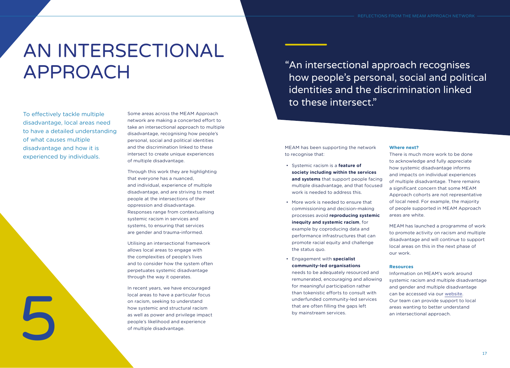# <span id="page-8-0"></span>AN INTERSECTIONAL APPROACH

To effectively tackle multiple disadvantage, local areas need to have a detailed understanding of what causes multiple disadvantage and how it is experienced by individuals.

5

Some areas across the MEAM Approach network are making a concerted effort to take an intersectional approach to multiple disadvantage, recognising how people's personal, social and political identities and the discrimination linked to these intersect to create unique experiences of multiple disadvantage.

Through this work they are highlighting that everyone has a nuanced, and individual, experience of multiple disadvantage, and are striving to meet people at the intersections of their oppression and disadvantage. Responses range from contextualising systemic racism in services and systems, to ensuring that services are gender and trauma-informed.

Utilising an intersectional framework allows local areas to engage with the complexities of people's lives and to consider how the system often perpetuates systemic disadvantage through the way it operates.

In recent years, we have encouraged local areas to have a particular focus on racism, seeking to understand how systemic and structural racism as well as power and privilege impact people's likelihood and experience of multiple disadvantage.

"An intersectional approach recognises how people's personal, social and political identities and the discrimination linked to these intersect."

MEAM has been supporting the network to recognise that:

- Systemic racism is a **feature of society including within the services and systems** that support people facing multiple disadvantage, and that focused work is needed to address this.
- More work is needed to ensure that commissioning and decision-making processes avoid **reproducing systemic inequity and systemic racism**, for example by coproducing data and performance infrastructures that can promote racial equity and challenge the status quo.
- Engagement with **specialist community-led organisations**

needs to be adequately resourced and remunerated, encouraging and allowing for meaningful participation rather than tokenistic efforts to consult with underfunded community-led services that are often filling the gaps left by mainstream services.

#### **Where next?**

There is much more work to be done to acknowledge and fully appreciate how systemic disadvantage informs and impacts on individual experiences of multiple disadvantage. There remains a significant concern that some MEAM Approach cohorts are not representative of local need. For example, the majority of people supported in MEAM Approach areas are white.

MEAM has launched a programme of work to promote activity on racism and multiple disadvantage and will continue to support local areas on this in the next phase of our work.

#### **Resources**

Information on MEAM's work around systemic racism and multiple disadvantage and gender and multiple disadvantage can be accessed via our [website](http://www.meam.org.uk). Our team can provide support to local areas wanting to better understand an intersectional approach.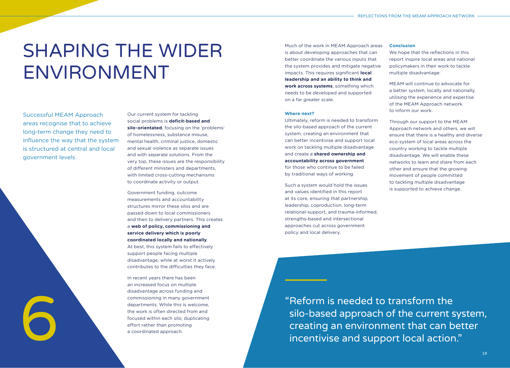# <span id="page-9-0"></span>SHAPING THE WIDER ENVIRONMENT

Successful MEAM Approach areas recognise that to achieve long-term change they need to influence the way that the system is structured at central and local government levels.



Our current system for tackling social problems is **deficit-based and silo-orientated**, focusing on the 'problems' of homelessness, substance misuse, mental health, criminal justice, domestic and sexual violence as separate issues and with separate solutions. From the very top, these issues are the responsibility of different ministers and departments, with limited cross-cutting mechanisms to coordinate activity or output.

Government funding, outcome measurements and accountability structures mirror these silos and are passed down to local commissioners and then to delivery partners. This creates a **web of policy, commissioning and service delivery which is poorly coordinated locally and nationally**. At best, this system fails to effectively support people facing multiple disadvantage, while at worst it actively contributes to the difficulties they face.

In recent years there has been an increased focus on multiple disadvantage across funding and commissioning in many government departments. While this is welcome, the work is often directed from and focused within each silo, duplicating effort rather than promoting a coordinated approach.

Much of the work in MEAM Approach areas is about developing approaches that can better coordinate the various inputs that the system provides and mitigate negative impacts. This requires significant **local leadership and an ability to think and work across systems**, something which needs to be developed and supported on a far greater scale.

#### **Where next?**

Ultimately, reform is needed to transform the silo-based approach of the current system, creating an environment that can better incentivise and support local work on tackling multiple disadvantage and create a **shared ownership and accountability across government** for those who continue to be failed by traditional ways of working.

Such a system would hold the issues and values identified in this report at its core, ensuring that partnership, leadership, coproduction, long-term relational-support, and trauma-informed, strengths-based and intersectional approaches cut across government policy and local delivery.

### **Conclusion**

We hope that the reflections in this report inspire local areas and national policymakers in their work to tackle multiple disadvantage.

MEAM will continue to advocate for a better system, locally and nationally, utilising the experience and expertise of the MEAM Approach network to inform our work.

Through our support to the MEAM Approach network and others, we will ensure that there is a healthy and diverse eco-system of local areas across the country working to tackle multiple disadvantage. We will enable these networks to learn and share from each other and ensure that the growing movement of people committed to tackling multiple disadvantage is supported to achieve change.

"Reform is needed to transform the silo-based approach of the current system, creating an environment that can better incentivise and support local action."